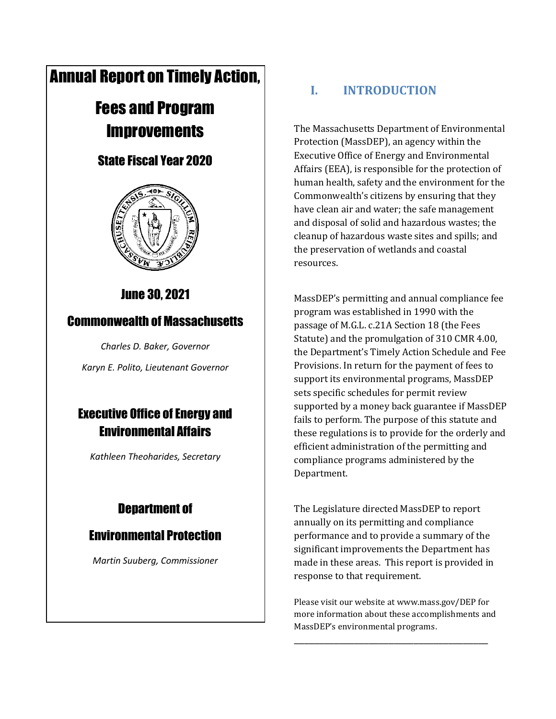# Annual Report on Timely Action,

# Fees and Program **Improvements**

### State Fiscal Year 2020



### June 30, 2021

### Commonwealth of Massachusetts

*Charles D. Baker, Governor*

*Karyn E. Polito, Lieutenant Governor*

## Executive Office of Energy and Environmental Affairs

*Kathleen Theoharides, Secretary*

## Department of

### Environmental Protection

*Martin Suuberg, Commissioner*

### **I. INTRODUCTION**

The Massachusetts Department of Environmental Protection (MassDEP), an agency within the Executive Office of Energy and Environmental Affairs (EEA), is responsible for the protection of human health, safety and the environment for the Commonwealth's citizens by ensuring that they have clean air and water; the safe management and disposal of solid and hazardous wastes; the cleanup of hazardous waste sites and spills; and the preservation of wetlands and coastal resources.

MassDEP's permitting and annual compliance fee program was established in 1990 with the passage of M.G.L. c.21A Section 18 (the Fees Statute) and the promulgation of 310 CMR 4.00, the Department's Timely Action Schedule and Fee Provisions. In return for the payment of fees to support its environmental programs, MassDEP sets specific schedules for permit review supported by a money back guarantee if MassDEP fails to perform. The purpose of this statute and these regulations is to provide for the orderly and efficient administration of the permitting and compliance programs administered by the Department.

The Legislature directed MassDEP to report annually on its permitting and compliance performance and to provide a summary of the significant improvements the Department has made in these areas. This report is provided in response to that requirement.

Please visit our website at www.mass.gov/DEP for more information about these accomplishments and MassDEP's environmental programs.

\_\_\_\_\_\_\_\_\_\_\_\_\_\_\_\_\_\_\_\_\_\_\_\_\_\_\_\_\_\_\_\_\_\_\_\_\_\_\_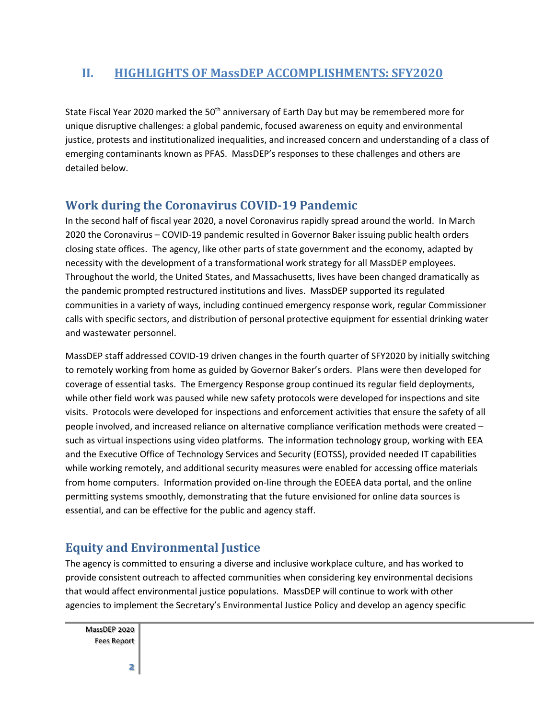#### **II. HIGHLIGHTS OF MassDEP ACCOMPLISHMENTS: SFY2020**

State Fiscal Year 2020 marked the 50<sup>th</sup> anniversary of Earth Day but may be remembered more for unique disruptive challenges: a global pandemic, focused awareness on equity and environmental justice, protests and institutionalized inequalities, and increased concern and understanding of a class of emerging contaminants known as PFAS. MassDEP's responses to these challenges and others are detailed below.

#### **Work during the Coronavirus COVID-19 Pandemic**

In the second half of fiscal year 2020, a novel Coronavirus rapidly spread around the world. In March 2020 the Coronavirus – COVID-19 pandemic resulted in Governor Baker issuing public health orders closing state offices. The agency, like other parts of state government and the economy, adapted by necessity with the development of a transformational work strategy for all MassDEP employees. Throughout the world, the United States, and Massachusetts, lives have been changed dramatically as the pandemic prompted restructured institutions and lives. MassDEP supported its regulated communities in a variety of ways, including continued emergency response work, regular Commissioner calls with specific sectors, and distribution of personal protective equipment for essential drinking water and wastewater personnel.

MassDEP staff addressed COVID-19 driven changes in the fourth quarter of SFY2020 by initially switching to remotely working from home as guided by Governor Baker's orders. Plans were then developed for coverage of essential tasks. The Emergency Response group continued its regular field deployments, while other field work was paused while new safety protocols were developed for inspections and site visits. Protocols were developed for inspections and enforcement activities that ensure the safety of all people involved, and increased reliance on alternative compliance verification methods were created – such as virtual inspections using video platforms. The information technology group, working with EEA and the Executive Office of Technology Services and Security (EOTSS), provided needed IT capabilities while working remotely, and additional security measures were enabled for accessing office materials from home computers. Information provided on-line through the EOEEA data portal, and the online permitting systems smoothly, demonstrating that the future envisioned for online data sources is essential, and can be effective for the public and agency staff.

### **Equity and Environmental Justice**

The agency is committed to ensuring a diverse and inclusive workplace culture, and has worked to provide consistent outreach to affected communities when considering key environmental decisions that would affect environmental justice populations. MassDEP will continue to work with other agencies to implement the Secretary's Environmental Justice Policy and develop an agency specific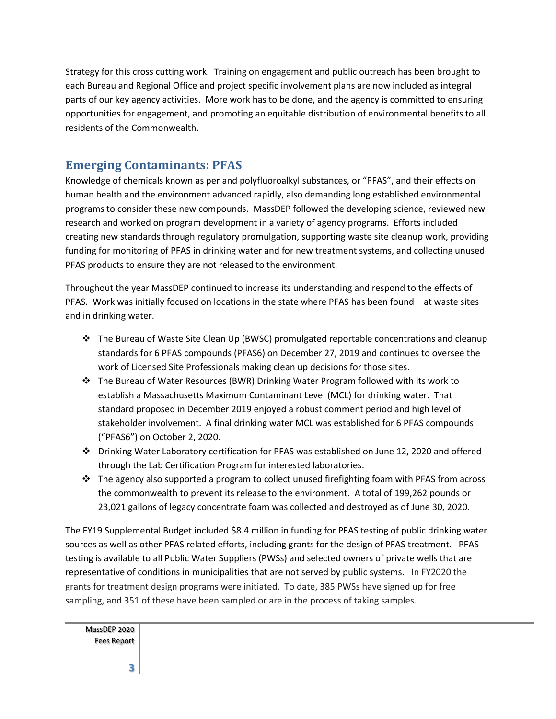Strategy for this cross cutting work. Training on engagement and public outreach has been brought to each Bureau and Regional Office and project specific involvement plans are now included as integral parts of our key agency activities. More work has to be done, and the agency is committed to ensuring opportunities for engagement, and promoting an equitable distribution of environmental benefits to all residents of the Commonwealth.

### **Emerging Contaminants: PFAS**

Knowledge of chemicals known as per and polyfluoroalkyl substances, or "PFAS", and their effects on human health and the environment advanced rapidly, also demanding long established environmental programs to consider these new compounds. MassDEP followed the developing science, reviewed new research and worked on program development in a variety of agency programs. Efforts included creating new standards through regulatory promulgation, supporting waste site cleanup work, providing funding for monitoring of PFAS in drinking water and for new treatment systems, and collecting unused PFAS products to ensure they are not released to the environment.

Throughout the year MassDEP continued to increase its understanding and respond to the effects of PFAS. Work was initially focused on locations in the state where PFAS has been found – at waste sites and in drinking water.

- ❖ The Bureau of Waste Site Clean Up (BWSC) promulgated reportable concentrations and cleanup standards for 6 PFAS compounds (PFAS6) on December 27, 2019 and continues to oversee the work of Licensed Site Professionals making clean up decisions for those sites.
- ❖ The Bureau of Water Resources (BWR) Drinking Water Program followed with its work to establish a Massachusetts Maximum Contaminant Level (MCL) for drinking water. That standard proposed in December 2019 enjoyed a robust comment period and high level of stakeholder involvement. A final drinking water MCL was established for 6 PFAS compounds ("PFAS6") on October 2, 2020.
- ❖ Drinking Water Laboratory certification for PFAS was established on June 12, 2020 and offered through the Lab Certification Program for interested laboratories.
- ❖ The agency also supported a program to collect unused firefighting foam with PFAS from across the commonwealth to prevent its release to the environment. A total of 199,262 pounds or 23,021 gallons of legacy concentrate foam was collected and destroyed as of June 30, 2020.

The FY19 Supplemental Budget included \$8.4 million in funding for PFAS testing of public drinking water sources as well as other PFAS related efforts, including grants for the design of PFAS treatment. PFAS testing is available to all Public Water Suppliers (PWSs) and selected owners of private wells that are representative of conditions in municipalities that are not served by public systems. In FY2020 the grants for treatment design programs were initiated. To date, 385 PWSs have signed up for free sampling, and 351 of these have been sampled or are in the process of taking samples.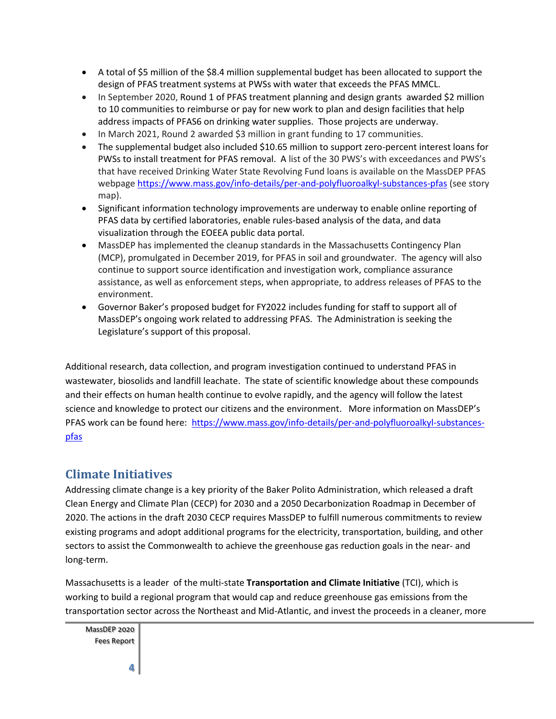- A total of \$5 million of the \$8.4 million supplemental budget has been allocated to support the design of PFAS treatment systems at PWSs with water that exceeds the PFAS MMCL.
- In September 2020, Round 1 of PFAS treatment planning and design grants awarded \$2 million to 10 communities to reimburse or pay for new work to plan and design facilities that help address impacts of PFAS6 on drinking water supplies. Those projects are underway.
- In March 2021, Round 2 awarded \$3 million in grant funding to 17 communities.
- The supplemental budget also included \$10.65 million to support zero-percent interest loans for PWSs to install treatment for PFAS removal. A list of the 30 PWS's with exceedances and PWS's that have received Drinking Water State Revolving Fund loans is available on the MassDEP PFAS webpage <https://www.mass.gov/info-details/per-and-polyfluoroalkyl-substances-pfas> (see story map).
- Significant information technology improvements are underway to enable online reporting of PFAS data by certified laboratories, enable rules-based analysis of the data, and data visualization through the EOEEA public data portal.
- MassDEP has implemented the cleanup standards in the Massachusetts Contingency Plan (MCP), promulgated in December 2019, for PFAS in soil and groundwater. The agency will also continue to support source identification and investigation work, compliance assurance assistance, as well as enforcement steps, when appropriate, to address releases of PFAS to the environment.
- Governor Baker's proposed budget for FY2022 includes funding for staff to support all of MassDEP's ongoing work related to addressing PFAS. The Administration is seeking the Legislature's support of this proposal.

Additional research, data collection, and program investigation continued to understand PFAS in wastewater, biosolids and landfill leachate. The state of scientific knowledge about these compounds and their effects on human health continue to evolve rapidly, and the agency will follow the latest science and knowledge to protect our citizens and the environment. More information on MassDEP's PFAS work can be found here: [https://www.mass.gov/info-details/per-and-polyfluoroalkyl-substances](https://www.mass.gov/info-details/per-and-polyfluoroalkyl-substances-pfas)[pfas](https://www.mass.gov/info-details/per-and-polyfluoroalkyl-substances-pfas)

#### **Climate Initiatives**

Addressing climate change is a key priority of the Baker Polito Administration, which released a draft Clean Energy and Climate Plan (CECP) for 2030 and a 2050 Decarbonization Roadmap in December of 2020. The actions in the draft 2030 CECP requires MassDEP to fulfill numerous commitments to review existing programs and adopt additional programs for the electricity, transportation, building, and other sectors to assist the Commonwealth to achieve the greenhouse gas reduction goals in the near- and long-term.

Massachusetts is a leader of the multi-state **[Transportation and Climate Initiative](https://www.transportationandclimate.org/)** (TCI), which is working to build a regional program that would cap and reduce greenhouse gas emissions from the transportation sector across the Northeast and Mid-Atlantic, and invest the proceeds in a cleaner, more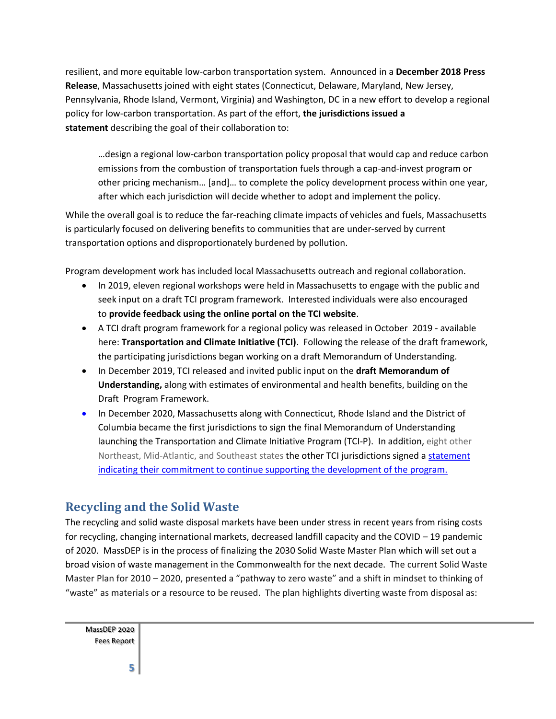resilient, and more equitable low-carbon transportation system. Announced in a **[December 2018 Press](https://www.mass.gov/news/commonwealth-joins-regional-states-to-reduce-transportation-emissions)  [Release](https://www.mass.gov/news/commonwealth-joins-regional-states-to-reduce-transportation-emissions)**, Massachusetts joined with eight states (Connecticut, Delaware, Maryland, New Jersey, Pennsylvania, Rhode Island, Vermont, Virginia) and Washington, DC in a new effort to develop a regional policy for low-carbon transportation. As part of the effort, **[the jurisdictions issued a](https://www.georgetownclimate.org/files/Final_TCI-statement_20181218_formatted.pdf)  [statement](https://www.georgetownclimate.org/files/Final_TCI-statement_20181218_formatted.pdf)** describing the goal of their collaboration to:

…design a regional low-carbon transportation policy proposal that would cap and reduce carbon emissions from the combustion of transportation fuels through a cap-and-invest program or other pricing mechanism… [and]… to complete the policy development process within one year, after which each jurisdiction will decide whether to adopt and implement the policy.

While the overall goal is to reduce the far-reaching climate impacts of vehicles and fuels, Massachusetts is particularly focused on delivering benefits to communities that are under-served by current transportation options and disproportionately burdened by pollution.

Program development work has included local Massachusetts outreach and regional collaboration.

- In 2019, eleven regional workshops were held in Massachusetts to engage with the public and seek input on a draft TCI program framework. Interested individuals were also encouraged to **[provide feedback using the online portal on the TCI website](https://www.transportationandclimate.org/main-menu/tci-regional-policy-design-stakeholder-input-form)**.
- A TCI draft program framework for a regional policy was released in October 2019 available here: **[Transportation and Climate Initiative \(TCI\)](https://www.transportationandclimate.org/main-menu/tcis-regional-policy-design-process-2019)**. Following the release of the draft framework, the participating jurisdictions began working on a draft Memorandum of Understanding.
- In December 2019, TCI released and invited public input on the **[draft Memorandum of](https://www.transportationandclimate.org/sites/default/files/FINAL%20TCI_draft-MOU_20191217.pdf)  [Understanding,](https://www.transportationandclimate.org/sites/default/files/FINAL%20TCI_draft-MOU_20191217.pdf)** along with estimates of environmental and health benefits, building on the Draft Program Framework.
- In December 2020, Massachusetts along with Connecticut, Rhode Island and the District of Columbia became the first jurisdictions to sign the final Memorandum of Understanding launching the Transportation and Climate Initiative Program (TCI-P). In addition, eight other Northeast, Mid-Atlantic, and Southeast states the other TCI jurisdictions signed [a statement](https://www.transportationandclimate.org/sites/default/files/TCI%20Next%20Steps%2012.20.pdf) indicating their commitment to continue supporting the development of the program.

#### **Recycling and the Solid Waste**

The recycling and solid waste disposal markets have been under stress in recent years from rising costs for recycling, changing international markets, decreased landfill capacity and the COVID – 19 pandemic of 2020. MassDEP is in the process of finalizing the 2030 Solid Waste Master Plan which will set out a broad vision of waste management in the Commonwealth for the next decade. The current Solid Waste Master Plan for 2010 – 2020, presented a "pathway to zero waste" and a shift in mindset to thinking of "waste" as materials or a resource to be reused. The plan highlights diverting waste from disposal as: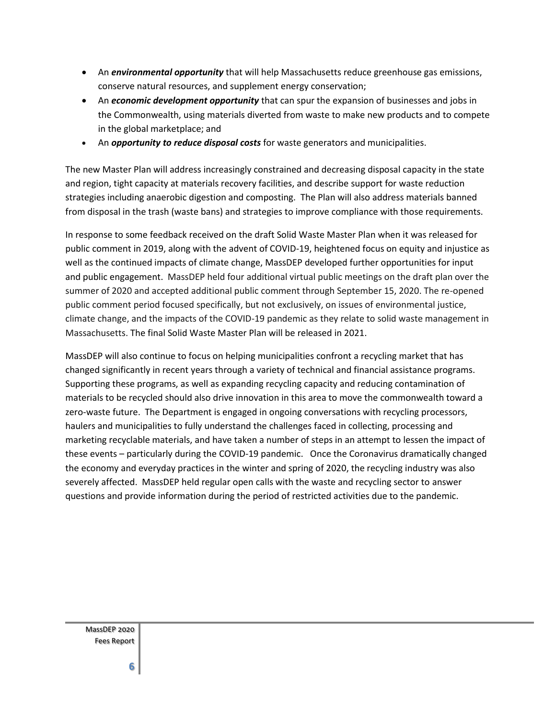- An *environmental opportunity* that will help Massachusetts reduce greenhouse gas emissions, conserve natural resources, and supplement energy conservation;
- An *economic development opportunity* that can spur the expansion of businesses and jobs in the Commonwealth, using materials diverted from waste to make new products and to compete in the global marketplace; and
- An *opportunity to reduce disposal costs* for waste generators and municipalities.

The new Master Plan will address increasingly constrained and decreasing disposal capacity in the state and region, tight capacity at materials recovery facilities, and describe support for waste reduction strategies including anaerobic digestion and composting. The Plan will also address materials banned from disposal in the trash (waste bans) and strategies to improve compliance with those requirements.

In response to some feedback received on the draft Solid Waste Master Plan when it was released for public comment in 2019, along with the advent of COVID-19, heightened focus on equity and injustice as well as the continued impacts of climate change, MassDEP developed further opportunities for input and public engagement. MassDEP held four additional virtual public meetings on the draft plan over the summer of 2020 and accepted additional public comment through September 15, 2020. The re-opened public comment period focused specifically, but not exclusively, on issues of environmental justice, climate change, and the impacts of the COVID-19 pandemic as they relate to solid waste management in Massachusetts. The final Solid Waste Master Plan will be released in 2021.

MassDEP will also continue to focus on helping municipalities confront a recycling market that has changed significantly in recent years through a variety of technical and financial assistance programs. Supporting these programs, as well as expanding recycling capacity and reducing contamination of materials to be recycled should also drive innovation in this area to move the commonwealth toward a zero-waste future. The Department is engaged in ongoing conversations with recycling processors, haulers and municipalities to fully understand the challenges faced in collecting, processing and marketing recyclable materials, and have taken a number of steps in an attempt to lessen the impact of these events – particularly during the COVID-19 pandemic. Once the Coronavirus dramatically changed the economy and everyday practices in the winter and spring of 2020, the recycling industry was also severely affected. MassDEP held regular open calls with the waste and recycling sector to answer questions and provide information during the period of restricted activities due to the pandemic.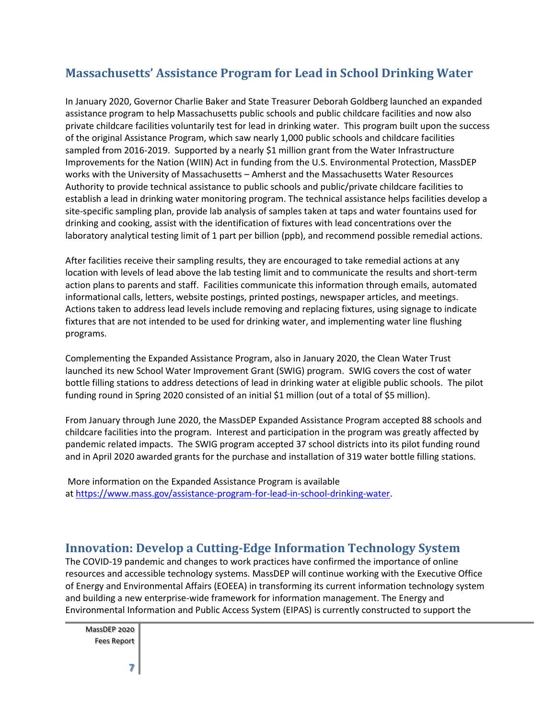### **Massachusetts' Assistance Program for Lead in School Drinking Water**

In January 2020, Governor Charlie Baker and State Treasurer Deborah Goldberg launched an expanded assistance program to help Massachusetts public schools and public childcare facilities and now also private childcare facilities voluntarily test for lead in drinking water. This program built upon the success of the original Assistance Program, which saw nearly 1,000 public schools and childcare facilities sampled from 2016-2019. Supported by a nearly \$1 million grant from the Water Infrastructure Improvements for the Nation (WIIN) Act in funding from the U.S. Environmental Protection, MassDEP works with the University of Massachusetts – Amherst and the Massachusetts Water Resources Authority to provide technical assistance to public schools and public/private childcare facilities to establish a lead in drinking water monitoring program. The technical assistance helps facilities develop a site-specific sampling plan, provide lab analysis of samples taken at taps and water fountains used for drinking and cooking, assist with the identification of fixtures with lead concentrations over the laboratory analytical testing limit of 1 part per billion (ppb), and recommend possible remedial actions.

After facilities receive their sampling results, they are encouraged to take remedial actions at any location with levels of lead above the lab testing limit and to communicate the results and short-term action plans to parents and staff. Facilities communicate this information through emails, automated informational calls, letters, website postings, printed postings, newspaper articles, and meetings. Actions taken to address lead levels include removing and replacing fixtures, using signage to indicate fixtures that are not intended to be used for drinking water, and implementing water line flushing programs.

Complementing the Expanded Assistance Program, also in January 2020, the Clean Water Trust launched its new School Water Improvement Grant (SWIG) program. SWIG covers the cost of water bottle filling stations to address detections of lead in drinking water at eligible public schools. The pilot funding round in Spring 2020 consisted of an initial \$1 million (out of a total of \$5 million).

From January through June 2020, the MassDEP Expanded Assistance Program accepted 88 schools and childcare facilities into the program. Interest and participation in the program was greatly affected by pandemic related impacts. The SWIG program accepted 37 school districts into its pilot funding round and in April 2020 awarded grants for the purchase and installation of 319 water bottle filling stations.

More information on the Expanded Assistance Program is available at [https://www.mass.gov/assistance-program-for-lead-in-school-drinking-water.](https://www.mass.gov/assistance-program-for-lead-in-school-drinking-water)

#### **Innovation: Develop a Cutting-Edge Information Technology System**

The COVID-19 pandemic and changes to work practices have confirmed the importance of online resources and accessible technology systems. MassDEP will continue working with the Executive Office of Energy and Environmental Affairs (EOEEA) in transforming its current information technology system and building a new enterprise-wide framework for information management. The Energy and Environmental Information and Public Access System (EIPAS) is currently constructed to support the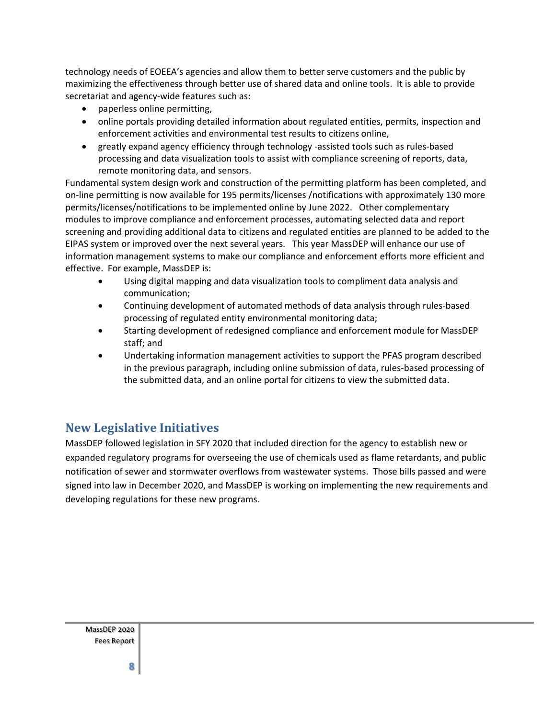technology needs of EOEEA's agencies and allow them to better serve customers and the public by maximizing the effectiveness through better use of shared data and online tools. It is able to provide secretariat and agency-wide features such as:

- paperless online permitting,
- online portals providing detailed information about regulated entities, permits, inspection and enforcement activities and environmental test results to citizens online,
- greatly expand agency efficiency through technology -assisted tools such as rules-based processing and data visualization tools to assist with compliance screening of reports, data, remote monitoring data, and sensors.

Fundamental system design work and construction of the permitting platform has been completed, and on-line permitting is now available for 195 permits/licenses /notifications with approximately 130 more permits/licenses/notifications to be implemented online by June 2022. Other complementary modules to improve compliance and enforcement processes, automating selected data and report screening and providing additional data to citizens and regulated entities are planned to be added to the EIPAS system or improved over the next several years. This year MassDEP will enhance our use of information management systems to make our compliance and enforcement efforts more efficient and effective. For example, MassDEP is:

- Using digital mapping and data visualization tools to compliment data analysis and communication;
- Continuing development of automated methods of data analysis through rules-based processing of regulated entity environmental monitoring data;
- Starting development of redesigned compliance and enforcement module for MassDEP staff; and
- Undertaking information management activities to support the PFAS program described in the previous paragraph, including online submission of data, rules-based processing of the submitted data, and an online portal for citizens to view the submitted data.

#### **New Legislative Initiatives**

MassDEP followed legislation in SFY 2020 that included direction for the agency to establish new or expanded regulatory programs for overseeing the use of chemicals used as flame retardants, and public notification of sewer and stormwater overflows from wastewater systems. Those bills passed and were signed into law in December 2020, and MassDEP is working on implementing the new requirements and developing regulations for these new programs.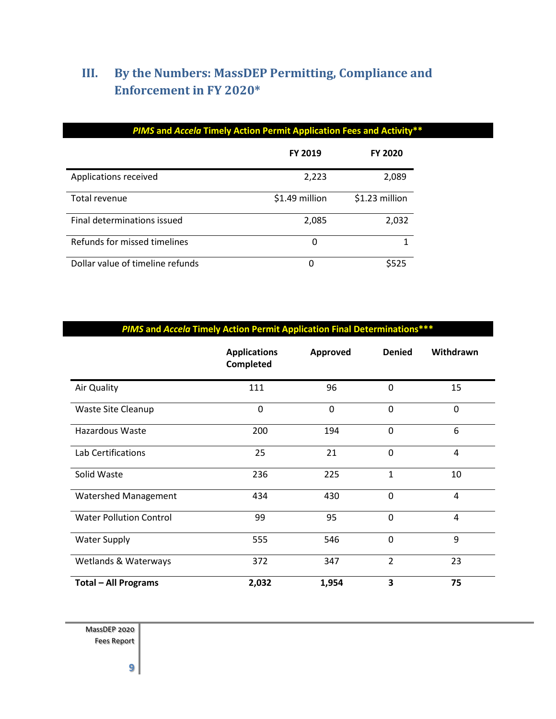## **III. By the Numbers: MassDEP Permitting, Compliance and Enforcement in FY 2020\***

|                                  | PIMS and Accela Timely Action Permit Application Fees and Activity** |                |  |
|----------------------------------|----------------------------------------------------------------------|----------------|--|
|                                  | <b>FY 2019</b>                                                       | <b>FY 2020</b> |  |
| Applications received            | 2,223                                                                | 2,089          |  |
| Total revenue                    | \$1.49 million                                                       | \$1.23 million |  |
| Final determinations issued      | 2,085                                                                | 2,032          |  |
| Refunds for missed timelines     | 0                                                                    |                |  |
| Dollar value of timeline refunds | 0                                                                    | \$525          |  |

|                                | <b>Applications</b><br><b>Completed</b> | Approved | <b>Denied</b>            | Withdrawn   |
|--------------------------------|-----------------------------------------|----------|--------------------------|-------------|
| Air Quality                    | 111                                     | 96       | 0                        | 15          |
| Waste Site Cleanup             | 0                                       | 0        | 0                        | $\mathbf 0$ |
| Hazardous Waste                | 200                                     | 194      | $\mathbf 0$              | 6           |
| Lab Certifications             | 25                                      | 21       | $\mathbf 0$              | 4           |
| Solid Waste                    | 236                                     | 225      | 1                        | 10          |
| <b>Watershed Management</b>    | 434                                     | 430      | $\mathbf 0$              | 4           |
| <b>Water Pollution Control</b> | 99                                      | 95       | $\mathbf 0$              | 4           |
| <b>Water Supply</b>            | 555                                     | 546      | $\overline{0}$           | 9           |
| Wetlands & Waterways           | 372                                     | 347      | $\overline{\phantom{a}}$ | 23          |
| <b>Total - All Programs</b>    | 2,032                                   | 1,954    | 3                        | 75          |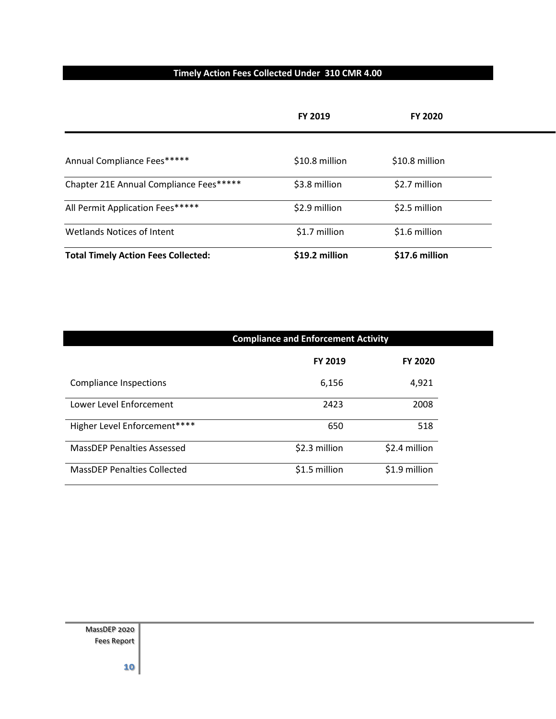#### **Timely Action Fees Collected Under 310 CMR 4.00**

|                                            | FY 2019        | <b>FY 2020</b> |  |
|--------------------------------------------|----------------|----------------|--|
|                                            |                |                |  |
| Annual Compliance Fees*****                | \$10.8 million | \$10.8 million |  |
| Chapter 21E Annual Compliance Fees*****    | \$3.8 million  | \$2.7 million  |  |
| All Permit Application Fees*****           | \$2.9 million  | \$2.5 million  |  |
| <b>Wetlands Notices of Intent</b>          | \$1.7 million  | \$1.6 million  |  |
| <b>Total Timely Action Fees Collected:</b> | \$19.2 million | \$17.6 million |  |

|                                    | <b>Compliance and Enforcement Activity</b> |                |  |  |
|------------------------------------|--------------------------------------------|----------------|--|--|
|                                    | <b>FY 2019</b>                             | <b>FY 2020</b> |  |  |
| Compliance Inspections             | 6,156                                      | 4,921          |  |  |
| Lower Level Enforcement            | 2423                                       | 2008           |  |  |
| Higher Level Enforcement****       | 650                                        | 518            |  |  |
| <b>MassDEP Penalties Assessed</b>  | \$2.3 million                              | \$2.4 million  |  |  |
| <b>MassDEP Penalties Collected</b> | \$1.5 million                              | \$1.9 million  |  |  |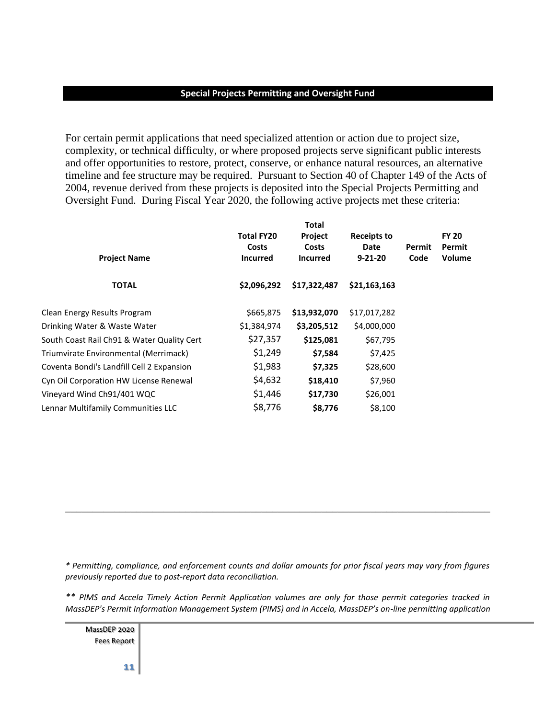#### **Special Projects Permitting and Oversight Fund**

For certain permit applications that need specialized attention or action due to project size, complexity, or technical difficulty, or where proposed projects serve significant public interests and offer opportunities to restore, protect, conserve, or enhance natural resources, an alternative timeline and fee structure may be required. Pursuant to Section 40 of Chapter 149 of the Acts of 2004, revenue derived from these projects is deposited into the Special Projects Permitting and Oversight Fund. During Fiscal Year 2020, the following active projects met these criteria:

| <b>Total</b>               |                  |                            |               |                                  |
|----------------------------|------------------|----------------------------|---------------|----------------------------------|
| <b>Total FY20</b><br>Costs | Project<br>Costs | <b>Receipts to</b><br>Date | Permit        | <b>FY 20</b><br>Permit<br>Volume |
| \$2,096,292                | \$17,322,487     | \$21,163,163               |               |                                  |
|                            |                  |                            |               |                                  |
| \$665,875                  | \$13,932,070     | \$17,017,282               |               |                                  |
| \$1,384,974                | \$3,205,512      | \$4,000,000                |               |                                  |
| \$27,357                   | \$125,081        | \$67,795                   |               |                                  |
| \$1,249                    | \$7,584          | \$7,425                    |               |                                  |
| \$1,983                    | \$7,325          | \$28,600                   |               |                                  |
| \$4,632                    | \$18,410         | \$7,960                    |               |                                  |
| \$1,446                    | \$17,730         | \$26,001                   |               |                                  |
| \$8,776                    | \$8,776          | \$8,100                    |               |                                  |
|                            | <b>Incurred</b>  | <b>Incurred</b>            | $9 - 21 - 20$ | Code                             |

*\* Permitting, compliance, and enforcement counts and dollar amounts for prior fiscal years may vary from figures previously reported due to post-report data reconciliation.*

\_\_\_\_\_\_\_\_\_\_\_\_\_\_\_\_\_\_\_\_\_\_\_\_\_\_\_\_\_\_\_\_\_\_\_\_\_\_\_\_\_\_\_\_\_\_\_\_\_\_\_\_\_\_\_\_\_\_\_\_\_\_\_\_\_\_\_\_\_\_\_\_\_\_\_\_\_\_

*\*\* PIMS and Accela Timely Action Permit Application volumes are only for those permit categories tracked in MassDEP's Permit Information Management System (PIMS) and in Accela, MassDEP's on-line permitting application*